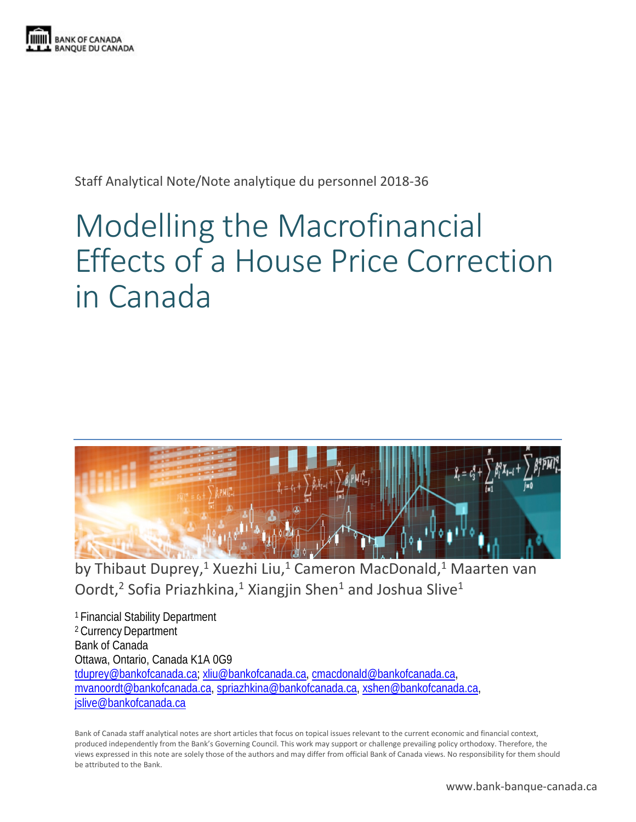

Staff Analytical Note/Note analytique du personnel 2018-36

# Modelling the Macrofinancial Effects of a House Price Correction in Canada



by Thibaut Duprey,<sup>1</sup> Xuezhi Liu,<sup>1</sup> Cameron MacDonald,<sup>1</sup> Maarten van Oordt,<sup>2</sup> Sofia Priazhkina,<sup>1</sup> Xiangjin Shen<sup>1</sup> and Joshua Slive<sup>1</sup>

<sup>1</sup> Financial Stability Department <sup>2</sup> Currency Department Bank of Canada Ottawa, Ontario, Canada K1A 0G9 [tduprey@bankofcanada.ca;](mailto:tduprey@bankofcanada.ca) [xliu@bankofcanada.ca,](mailto:xliu@bankofcanada.ca) [cmacdonald@bankofcanada.ca,](mailto:cmacdonald@bankofcanada.ca) [mvanoordt@bankofcanada.ca,](mailto:mvanoordt@bankofcanada.ca) [spriazhkina@bankofcanada.ca,](mailto:spriazhkina@bankofcanada.ca) [xshen@bankofcanada.ca,](mailto:xshen@bankofcanada.ca) [jslive@bankofcanada.ca](mailto:jslive@bankofcanada.ca)

Bank of Canada staff analytical notes are short articles that focus on topical issues relevant to the current economic and financial context, produced independently from the Bank's Governing Council. This work may support or challenge prevailing policy orthodoxy. Therefore, the views expressed in this note are solely those of the authors and may differ from official Bank of Canada views. No responsibility for them should be attributed to the Bank.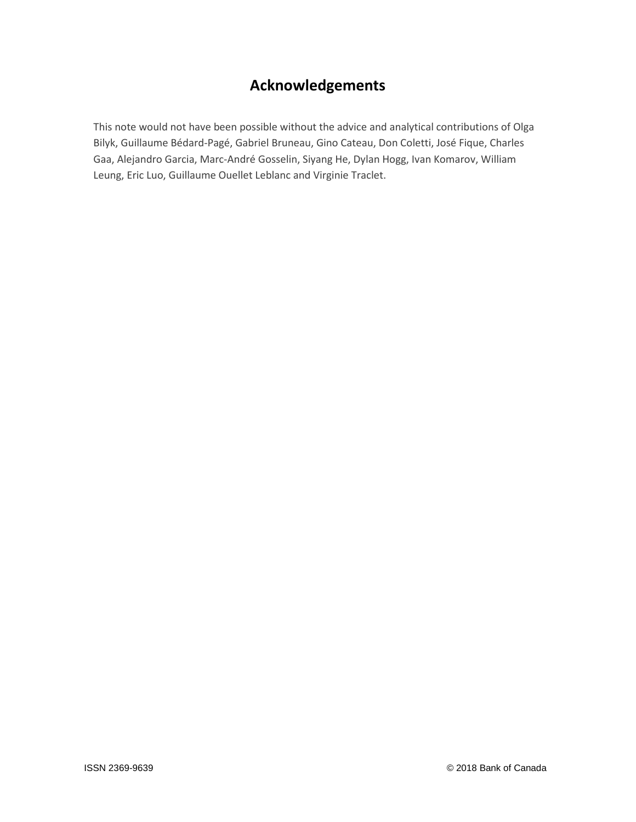# **Acknowledgements**

This note would not have been possible without the advice and analytical contributions of Olga Bilyk, Guillaume Bédard-Pagé, Gabriel Bruneau, Gino Cateau, Don Coletti, José Fique, Charles Gaa, Alejandro Garcia, Marc-André Gosselin, Siyang He, Dylan Hogg, Ivan Komarov, William Leung, Eric Luo, Guillaume Ouellet Leblanc and Virginie Traclet.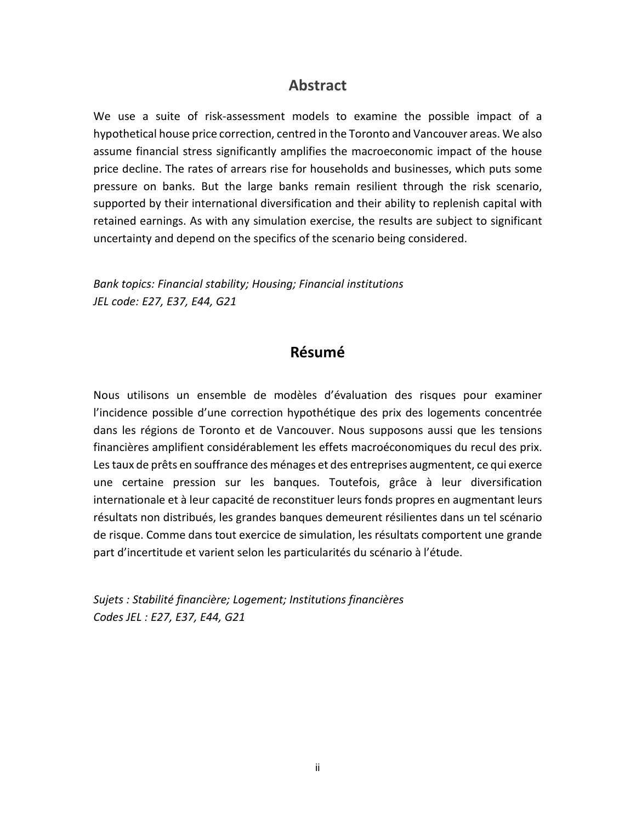### **Abstract**

We use a suite of risk-assessment models to examine the possible impact of a hypothetical house price correction, centred in the Toronto and Vancouver areas. We also assume financial stress significantly amplifies the macroeconomic impact of the house price decline. The rates of arrears rise for households and businesses, which puts some pressure on banks. But the large banks remain resilient through the risk scenario, supported by their international diversification and their ability to replenish capital with retained earnings. As with any simulation exercise, the results are subject to significant uncertainty and depend on the specifics of the scenario being considered.

*Bank topics: Financial stability; Housing; Financial institutions JEL code: E27, E37, E44, G21*

### **Résumé**

Nous utilisons un ensemble de modèles d'évaluation des risques pour examiner l'incidence possible d'une correction hypothétique des prix des logements concentrée dans les régions de Toronto et de Vancouver. Nous supposons aussi que les tensions financières amplifient considérablement les effets macroéconomiques du recul des prix. Les taux de prêts en souffrance des ménages et des entreprises augmentent, ce qui exerce une certaine pression sur les banques. Toutefois, grâce à leur diversification internationale et à leur capacité de reconstituer leurs fonds propres en augmentant leurs résultats non distribués, les grandes banques demeurent résilientes dans un tel scénario de risque. Comme dans tout exercice de simulation, les résultats comportent une grande part d'incertitude et varient selon les particularités du scénario à l'étude.

*Sujets : Stabilité financière; Logement; Institutions financières Codes JEL : E27, E37, E44, G21*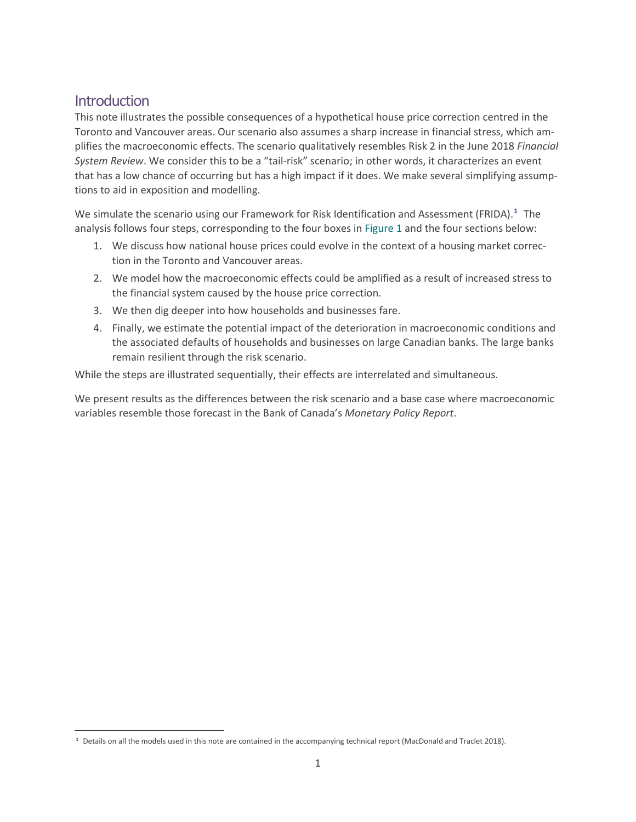# **Introduction**

 $\overline{a}$ 

This note illustrates the possible consequences of a hypothetical house price correction centred in the Toronto and Vancouver areas. Our scenario also assumes a sharp increase in financial stress, which amplifies the macroeconomic effects. The scenario qualitatively resembles Risk 2 in the June 2018 *[Financial](https://www.bankofcanada.ca/2018/06/assessment-of-vulnerabilities-and-risks/)  [System Review](https://www.bankofcanada.ca/2018/06/assessment-of-vulnerabilities-and-risks/)*. We consider this to be a "tail-risk" scenario; in other words, it characterizes an event that has a low chance of occurring but has a high impact if it does. We make several simplifying assumptions to aid in exposition and modelling.

We simulate the scenario using our Framework for Risk Identification and Assessment (FRIDA).**[1](#page-3-0)** The analysis follows four steps, corresponding to the four boxes in Figure 1 and the four sections below:

- 1. We discuss how national house prices could evolve in the context of a housing market correction in the Toronto and Vancouver areas.
- 2. We model how the macroeconomic effects could be amplified as a result of increased stress to the financial system caused by the house price correction.
- 3. We then dig deeper into how households and businesses fare.
- 4. Finally, we estimate the potential impact of the deterioration in macroeconomic conditions and the associated defaults of households and businesses on large Canadian banks. The large banks remain resilient through the risk scenario.

While the steps are illustrated sequentially, their effects are interrelated and simultaneous.

We present results as the differences between the risk scenario and a base case where macroeconomic variables resemble those forecast in the Bank of Canada's *Monetary Policy Report*.

<span id="page-3-0"></span>**<sup>1</sup>** Details on all the models used in this note are contained in the accompanying technical report (MacDonald and Traclet 2018).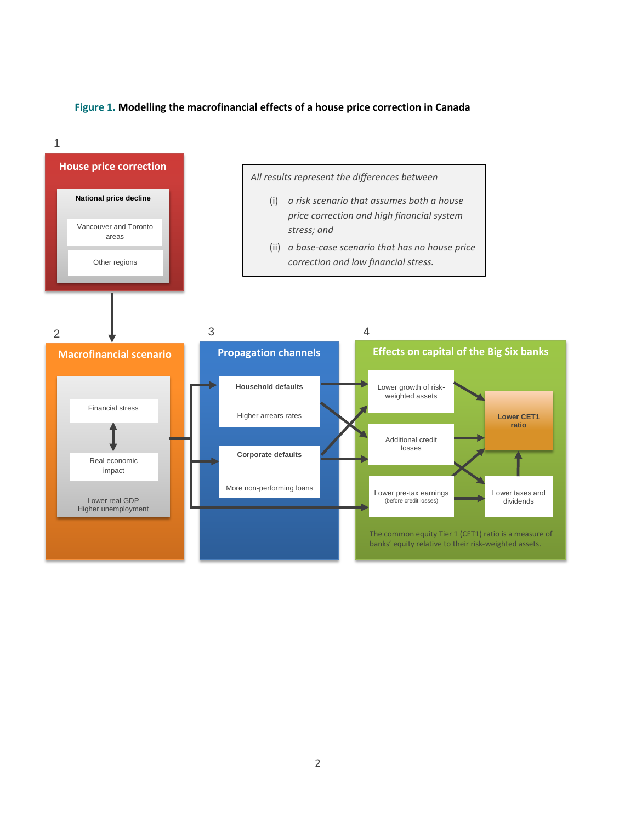#### **Figure 1. Modelling the macrofinancial effects of a house price correction in Canada**

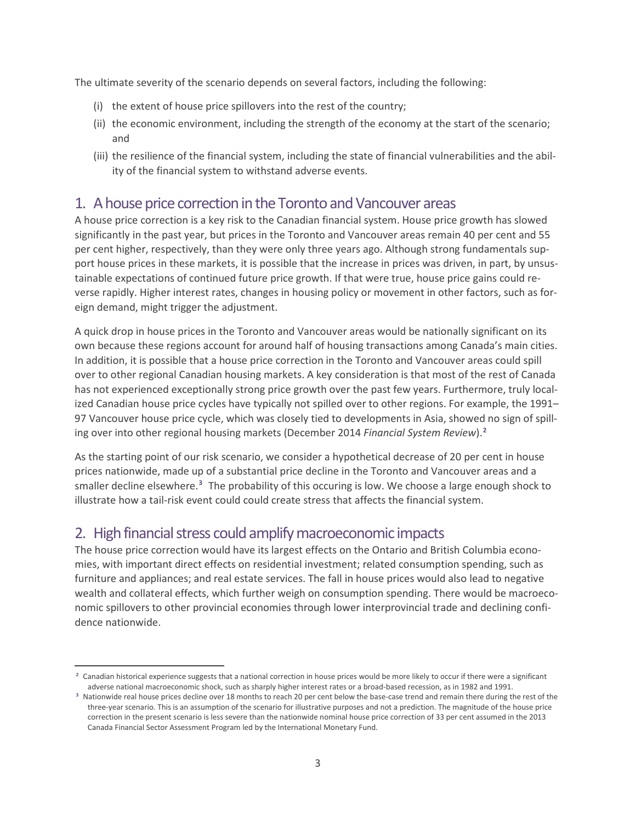The ultimate severity of the scenario depends on several factors, including the following:

- (i) the extent of house price spillovers into the rest of the country;
- (ii) the economic environment, including the strength of the economy at the start of the scenario; and
- (iii) the resilience of the financial system, including the state of financial vulnerabilities and the ability of the financial system to withstand adverse events.

# 1. A house price correction in the Toronto and Vancouver areas

A house price correction is a key risk to the Canadian financial system. House price growth has slowed significantly in the past year, but prices in the Toronto and Vancouver areas remain 40 per cent and 55 per cent higher, respectively, than they were only three years ago. Although strong fundamentals support house prices in these markets, it is possible that the increase in prices was driven, in part, by unsustainable expectations of continued future price growth. If that were true, house price gains could reverse rapidly. Higher interest rates, changes in housing policy or movement in other factors, such as foreign demand, might trigger the adjustment.

A quick drop in house prices in the Toronto and Vancouver areas would be nationally significant on its own because these regions account for around half of housing transactions among Canada's main cities. In addition, it is possible that a house price correction in the Toronto and Vancouver areas could spill over to other regional Canadian housing markets. A key consideration is that most of the rest of Canada has not experienced exceptionally strong price growth over the past few years. Furthermore, truly localized Canadian house price cycles have typically not spilled over to other regions. For example, the 1991– 97 Vancouver house price cycle, which was closely tied to developments in Asia, showed no sign of spilling over into other regional housing markets (December 2014 *Financial System Review*).**[2](#page-5-0)**

As the starting point of our risk scenario, we consider a hypothetical decrease of 20 per cent in house prices nationwide, made up of a substantial price decline in the Toronto and Vancouver areas and a smaller decline elsewhere.**[3](#page-5-1)** The probability of this occuring is low. We choose a large enough shock to illustrate how a tail-risk event could could create stress that affects the financial system.

# 2. High financial stress could amplify macroeconomic impacts

 $\overline{a}$ 

The house price correction would have its largest effects on the Ontario and British Columbia economies, with important direct effects on residential investment; related consumption spending, such as furniture and appliances; and real estate services. The fall in house prices would also lead to negative wealth and collateral effects, which further weigh on consumption spending. There would be macroeconomic spillovers to other provincial economies through lower interprovincial trade and declining confidence nationwide.

<span id="page-5-0"></span>**<sup>2</sup>** Canadian historical experience suggests that a national correction in house prices would be more likely to occur if there were a significant adverse national macroeconomic shock, such as sharply higher interest rates or a broad-based recession, as in 1982 and 1991.

<span id="page-5-1"></span>**<sup>3</sup>** Nationwide real house prices decline over 18 months to reach 20 per cent below the base-case trend and remain there during the rest of the three-year scenario. This is an assumption of the scenario for illustrative purposes and not a prediction. The magnitude of the house price correction in the present scenario is less severe than the nationwide nominal house price correction of 33 per cent assumed in the 2013 Canada Financial Sector Assessment Program led by the International Monetary Fund.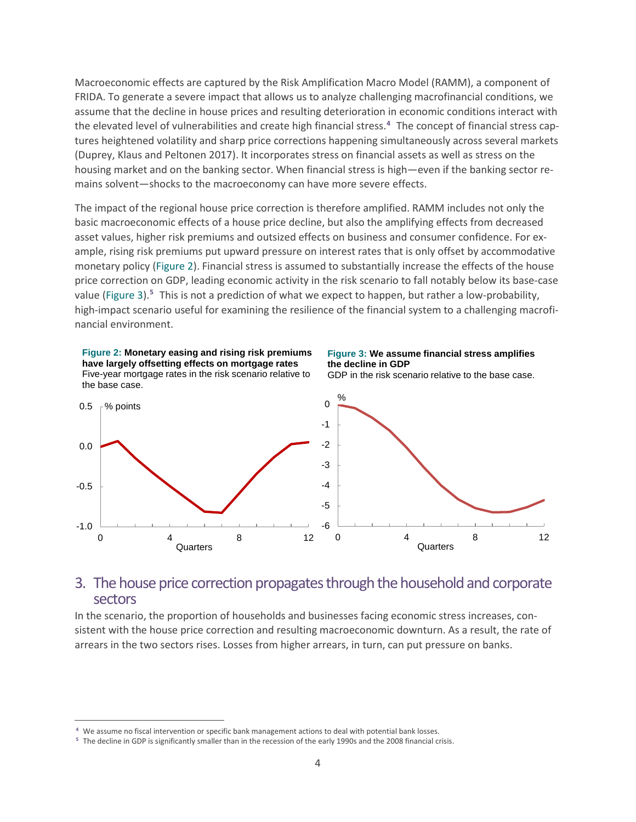Macroeconomic effects are captured by the Risk Amplification Macro Model (RAMM), a component of FRIDA. To generate a severe impact that allows us to analyze challenging macrofinancial conditions, we assume that the decline in house prices and resulting deterioration in economic conditions interact with the elevated level of vulnerabilities and create high financial stress. **[4](#page-6-0)** The concept of financial stress captures heightened volatility and sharp price corrections happening simultaneously across several markets (Duprey, Klaus and Peltonen 2017). It incorporates stress on financial assets as well as stress on the housing market and on the banking sector. When financial stress is high—even if the banking sector remains solvent—shocks to the macroeconomy can have more severe effects.

The impact of the regional house price correction is therefore amplified. RAMM includes not only the basic macroeconomic effects of a house price decline, but also the amplifying effects from decreased asset values, higher risk premiums and outsized effects on business and consumer confidence. For example, rising risk premiums put upward pressure on interest rates that is only offset by accommodative monetary policy (Figure 2). Financial stress is assumed to substantially increase the effects of the house price correction on GDP, leading economic activity in the risk scenario to fall notably below its base-case value (Figure 3).**[5](#page-6-1)** This is not a prediction of what we expect to happen, but rather a low-probability, high-impact scenario useful for examining the resilience of the financial system to a challenging macrofinancial environment.



### 3. The house price correction propagates through the household and corporate sectors

In the scenario, the proportion of households and businesses facing economic stress increases, consistent with the house price correction and resulting macroeconomic downturn. As a result, the rate of arrears in the two sectors rises. Losses from higher arrears, in turn, can put pressure on banks.

 $\overline{a}$ 

<span id="page-6-0"></span>**<sup>4</sup>** We assume no fiscal intervention or specific bank management actions to deal with potential bank losses.

<span id="page-6-1"></span>**<sup>5</sup>** The decline in GDP is significantly smaller than in the recession of the early 1990s and the 2008 financial crisis.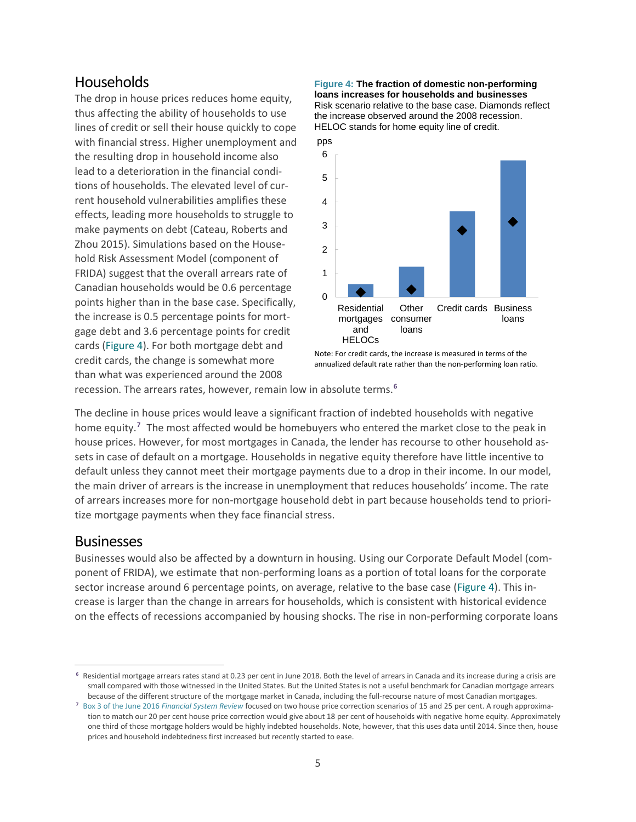### Households

The drop in house prices reduces home equity, thus affecting the ability of households to use lines of credit or sell their house quickly to cope with financial stress. Higher unemployment and the resulting drop in household income also lead to a deterioration in the financial conditions of households. The elevated level of current household vulnerabilities amplifies these effects, leading more households to struggle to make payments on debt (Cateau, Roberts and Zhou 2015). Simulations based on the Household Risk Assessment Model (component of FRIDA) suggest that the overall arrears rate of Canadian households would be 0.6 percentage points higher than in the base case. Specifically, the increase is 0.5 percentage points for mortgage debt and 3.6 percentage points for credit cards (Figure 4). For both mortgage debt and credit cards, the change is somewhat more than what was experienced around the 2008

#### **Figure 4: The fraction of domestic non-performing loans increases for households and businesses** Risk scenario relative to the base case. Diamonds reflect the increase observed around the 2008 recession. HELOC stands for home equity line of credit.



Note: For credit cards, the increase is measured in terms of the annualized default rate rather than the non-performing loan ratio.

recession. The arrears rates, however, remain low in absolute terms.**[6](#page-7-0)**

The decline in house prices would leave a significant fraction of indebted households with negative home equity.**[7](#page-7-1)** The most affected would be homebuyers who entered the market close to the peak in house prices. However, for most mortgages in Canada, the lender has recourse to other household assets in case of default on a mortgage. Households in negative equity therefore have little incentive to default unless they cannot meet their mortgage payments due to a drop in their income. In our model, the main driver of arrears is the increase in unemployment that reduces households' income. The rate of arrears increases more for non-mortgage household debt in part because households tend to prioritize mortgage payments when they face financial stress.

### Businesses

 $\overline{a}$ 

Businesses would also be affected by a downturn in housing. Using our Corporate Default Model (component of FRIDA), we estimate that non-performing loans as a portion of total loans for the corporate sector increase around 6 percentage points, on average, relative to the base case (Figure 4). This increase is larger than the change in arrears for households, which is consistent with historical evidence on the effects of recessions accompanied by housing shocks. The rise in non-performing corporate loans

<span id="page-7-0"></span>**<sup>6</sup>** Residential mortgage arrears rates stand at 0.23 per cent in June 2018. Both the level of arrears in Canada and its increase during a crisis are small compared with those witnessed in the United States. But the United States is not a useful benchmark for Canadian mortgage arrears because of the different structure of the mortgage market in Canada, including the full-recourse nature of most Canadian mortgages.

<span id="page-7-1"></span>**<sup>7</sup>** [Box 3 of the June 2016](http://www.bankofcanada.ca/wp-content/uploads/2016/06/fsr-june2016.pdf) *Financial System Review* focused on two house price correction scenarios of 15 and 25 per cent. A rough approximation to match our 20 per cent house price correction would give about 18 per cent of households with negative home equity. Approximately one third of those mortgage holders would be highly indebted households. Note, however, that this uses data until 2014. Since then, house prices and household indebtedness first increased but recently started to ease.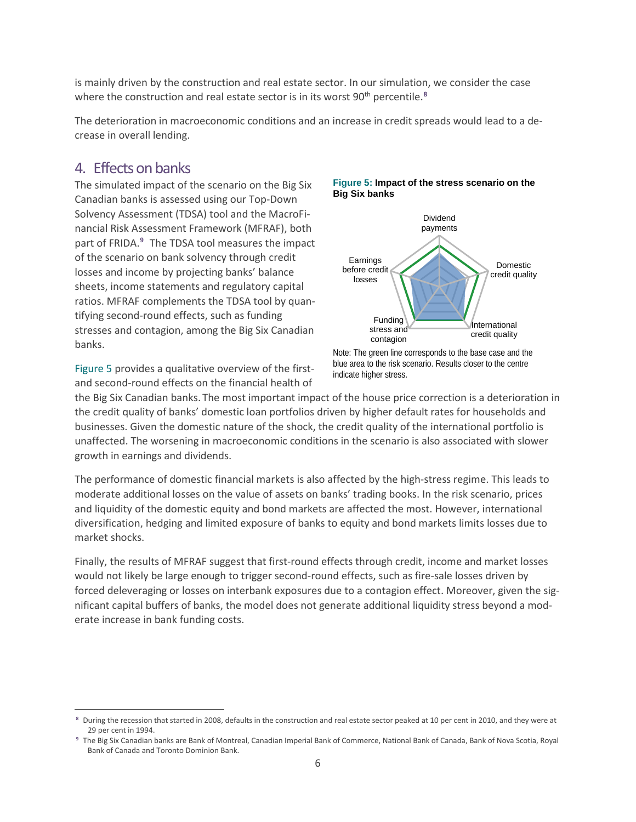is mainly driven by the construction and real estate sector. In our simulation, we consider the case where the construction and real estate sector is in its worst 90<sup>th</sup> percentile.<sup>[8](#page-8-0)</sup>

The deterioration in macroeconomic conditions and an increase in credit spreads would lead to a decrease in overall lending.

### 4. Effects on banks

 $\overline{a}$ 

The simulated impact of the scenario on the Big Six Canadian banks is assessed using our Top-Down Solvency Assessment (TDSA) tool and the MacroFinancial Risk Assessment Framework (MFRAF), both part of FRIDA. **[9](#page-8-1)** The TDSA tool measures the impact of the scenario on bank solvency through credit losses and income by projecting banks' balance sheets, income statements and regulatory capital ratios. MFRAF complements the TDSA tool by quantifying second-round effects, such as funding stresses and contagion, among the Big Six Canadian banks.

Figure 5 provides a qualitative overview of the firstand second-round effects on the financial health of





Note: The green line corresponds to the base case and the blue area to the risk scenario. Results closer to the centre indicate higher stress.

the Big Six Canadian banks. The most important impact of the house price correction is a deterioration in the credit quality of banks' domestic loan portfolios driven by higher default rates for households and businesses. Given the domestic nature of the shock, the credit quality of the international portfolio is unaffected. The worsening in macroeconomic conditions in the scenario is also associated with slower growth in earnings and dividends.

The performance of domestic financial markets is also affected by the high-stress regime. This leads to moderate additional losses on the value of assets on banks' trading books. In the risk scenario, prices and liquidity of the domestic equity and bond markets are affected the most. However, international diversification, hedging and limited exposure of banks to equity and bond markets limits losses due to market shocks.

Finally, the results of MFRAF suggest that first-round effects through credit, income and market losses would not likely be large enough to trigger second-round effects, such as fire-sale losses driven by forced deleveraging or losses on interbank exposures due to a contagion effect. Moreover, given the significant capital buffers of banks, the model does not generate additional liquidity stress beyond a moderate increase in bank funding costs.

<span id="page-8-0"></span>**<sup>8</sup>** During the recession that started in 2008, defaults in the construction and real estate sector peaked at 10 per cent in 2010, and they were at 29 per cent in 1994.

<span id="page-8-1"></span>**<sup>9</sup>** The Big Six Canadian banks are Bank of Montreal, Canadian Imperial Bank of Commerce, National Bank of Canada, Bank of Nova Scotia, Royal Bank of Canada and Toronto Dominion Bank.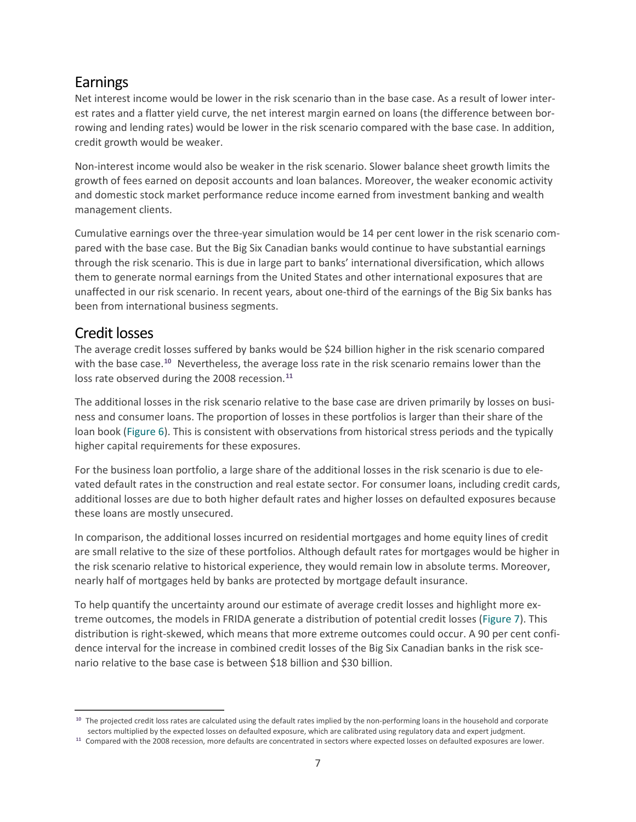# Earnings

Net interest income would be lower in the risk scenario than in the base case. As a result of lower interest rates and a flatter yield curve, the net interest margin earned on loans (the difference between borrowing and lending rates) would be lower in the risk scenario compared with the base case. In addition, credit growth would be weaker.

Non-interest income would also be weaker in the risk scenario. Slower balance sheet growth limits the growth of fees earned on deposit accounts and loan balances. Moreover, the weaker economic activity and domestic stock market performance reduce income earned from investment banking and wealth management clients.

Cumulative earnings over the three-year simulation would be 14 per cent lower in the risk scenario compared with the base case. But the Big Six Canadian banks would continue to have substantial earnings through the risk scenario. This is due in large part to banks' international diversification, which allows them to generate normal earnings from the United States and other international exposures that are unaffected in our risk scenario. In recent years, about one-third of the earnings of the Big Six banks has been from international business segments.

# Credit losses

 $\overline{a}$ 

The average credit losses suffered by banks would be \$24 billion higher in the risk scenario compared with the base case.**[10](#page-9-0)** Nevertheless, the average loss rate in the risk scenario remains lower than the loss rate observed during the 2008 recession. **[11](#page-9-1)**

The additional losses in the risk scenario relative to the base case are driven primarily by losses on business and consumer loans. The proportion of losses in these portfolios is larger than their share of the loan book (Figure 6). This is consistent with observations from historical stress periods and the typically higher capital requirements for these exposures.

For the business loan portfolio, a large share of the additional losses in the risk scenario is due to elevated default rates in the construction and real estate sector. For consumer loans, including credit cards, additional losses are due to both higher default rates and higher losses on defaulted exposures because these loans are mostly unsecured.

In comparison, the additional losses incurred on residential mortgages and home equity lines of credit are small relative to the size of these portfolios. Although default rates for mortgages would be higher in the risk scenario relative to historical experience, they would remain low in absolute terms. Moreover, nearly half of mortgages held by banks are protected by mortgage default insurance.

To help quantify the uncertainty around our estimate of average credit losses and highlight more extreme outcomes, the models in FRIDA generate a distribution of potential credit losses (Figure 7). This distribution is right-skewed, which means that more extreme outcomes could occur. A 90 per cent confidence interval for the increase in combined credit losses of the Big Six Canadian banks in the risk scenario relative to the base case is between \$18 billion and \$30 billion.

<span id="page-9-0"></span>**<sup>10</sup>** The projected credit loss rates are calculated using the default rates implied by the non-performing loans in the household and corporate sectors multiplied by the expected losses on defaulted exposure, which are calibrated using regulatory data and expert judgment.

<span id="page-9-1"></span>**<sup>11</sup>** Compared with the 2008 recession, more defaults are concentrated in sectors where expected losses on defaulted exposures are lower.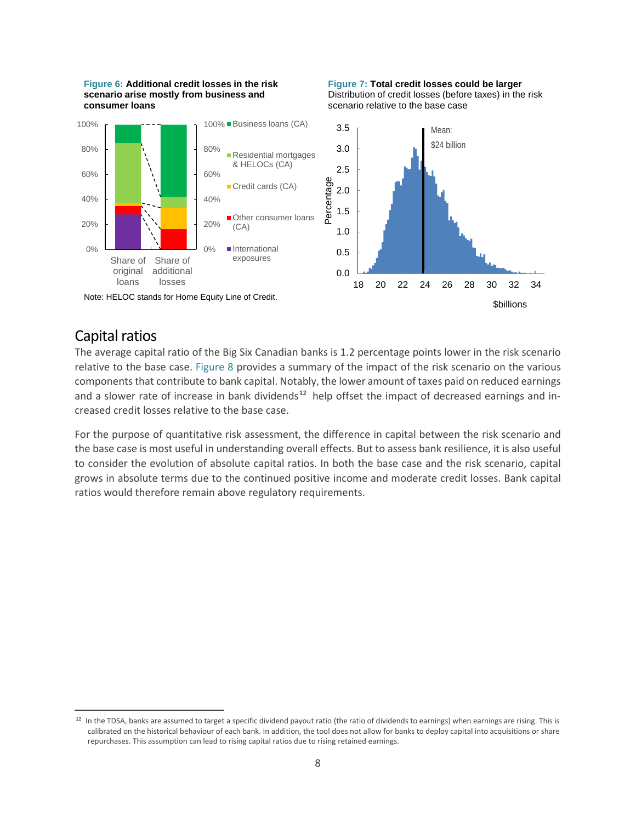





### Capital ratios

 $\overline{a}$ 

The average capital ratio of the Big Six Canadian banks is 1.2 percentage points lower in the risk scenario relative to the base case. Figure 8 provides a summary of the impact of the risk scenario on the various components that contribute to bank capital. Notably, the lower amount of taxes paid on reduced earnings and a slower rate of increase in bank dividends**[12](#page-10-0)** help offset the impact of decreased earnings and increased credit losses relative to the base case.

For the purpose of quantitative risk assessment, the difference in capital between the risk scenario and the base case is most useful in understanding overall effects. But to assess bank resilience, it is also useful to consider the evolution of absolute capital ratios. In both the base case and the risk scenario, capital grows in absolute terms due to the continued positive income and moderate credit losses. Bank capital ratios would therefore remain above regulatory requirements.

<span id="page-10-0"></span>**<sup>12</sup>** In the TDSA, banks are assumed to target a specific dividend payout ratio (the ratio of dividends to earnings) when earnings are rising. This is calibrated on the historical behaviour of each bank. In addition, the tool does not allow for banks to deploy capital into acquisitions or share repurchases. This assumption can lead to rising capital ratios due to rising retained earnings.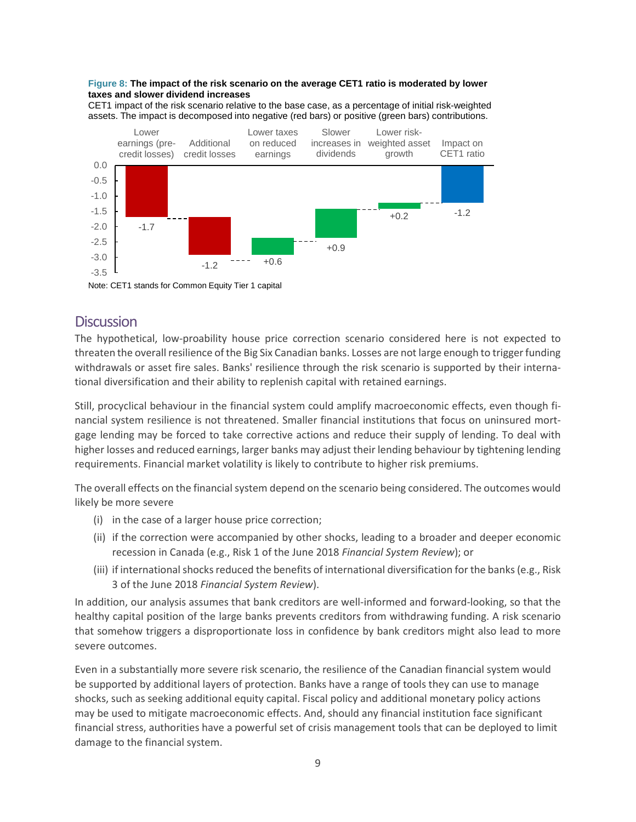#### **Figure 8: The impact of the risk scenario on the average CET1 ratio is moderated by lower taxes and slower dividend increases**

CET1 impact of the risk scenario relative to the base case, as a percentage of initial risk-weighted assets. The impact is decomposed into negative (red bars) or positive (green bars) contributions.



Note: CET1 stands for Common Equity Tier 1 capital

### **Discussion**

The hypothetical, low-proability house price correction scenario considered here is not expected to threaten the overall resilience of the Big Six Canadian banks. Losses are not large enough to trigger funding withdrawals or asset fire sales. Banks' resilience through the risk scenario is supported by their international diversification and their ability to replenish capital with retained earnings.

Still, procyclical behaviour in the financial system could amplify macroeconomic effects, even though financial system resilience is not threatened. Smaller financial institutions that focus on uninsured mortgage lending may be forced to take corrective actions and reduce their supply of lending. To deal with higher losses and reduced earnings, larger banks may adjust their lending behaviour by tightening lending requirements. Financial market volatility is likely to contribute to higher risk premiums.

The overall effects on the financial system depend on the scenario being considered. The outcomes would likely be more severe

- (i) in the case of a larger house price correction;
- (ii) if the correction were accompanied by other shocks, leading to a broader and deeper economic recession in Canada (e.g., Risk 1 of the June 2018 *[Financial System Review](https://www.bankofcanada.ca/2018/06/assessment-of-vulnerabilities-and-risks/)*); or
- (iii) if international shocks reduced the benefits of international diversification for the banks (e.g., Risk 3 of the June 2018 *[Financial System Review](https://www.bankofcanada.ca/2018/06/assessment-of-vulnerabilities-and-risks/)*).

In addition, our analysis assumes that bank creditors are well-informed and forward-looking, so that the healthy capital position of the large banks prevents creditors from withdrawing funding. A risk scenario that somehow triggers a disproportionate loss in confidence by bank creditors might also lead to more severe outcomes.

Even in a substantially more severe risk scenario, the resilience of the Canadian financial system would be supported by additional layers of protection. Banks have a range of tools they can use to manage shocks, such as seeking additional equity capital. Fiscal policy and additional monetary policy actions may be used to mitigate macroeconomic effects. And, should any financial institution face significant financial stress, authorities have a powerful set of crisis management tools that can be deployed to limit damage to the financial system.